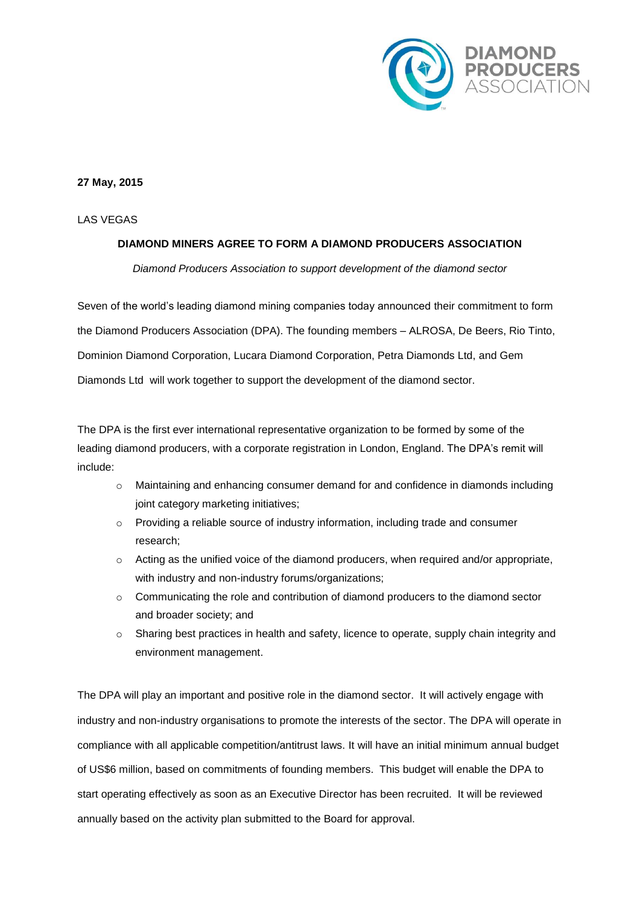

## **27 May, 2015**

### LAS VEGAS

### **DIAMOND MINERS AGREE TO FORM A DIAMOND PRODUCERS ASSOCIATION**

*Diamond Producers Association to support development of the diamond sector* 

Seven of the world's leading diamond mining companies today announced their commitment to form the Diamond Producers Association (DPA). The founding members – ALROSA, De Beers, Rio Tinto, Dominion Diamond Corporation, Lucara Diamond Corporation, Petra Diamonds Ltd, and Gem Diamonds Ltd will work together to support the development of the diamond sector.

The DPA is the first ever international representative organization to be formed by some of the leading diamond producers, with a corporate registration in London, England. The DPA's remit will include:

- o Maintaining and enhancing consumer demand for and confidence in diamonds including joint category marketing initiatives;
- o Providing a reliable source of industry information, including trade and consumer research;
- $\circ$  Acting as the unified voice of the diamond producers, when required and/or appropriate, with industry and non-industry forums/organizations;
- o Communicating the role and contribution of diamond producers to the diamond sector and broader society; and
- $\circ$  Sharing best practices in health and safety, licence to operate, supply chain integrity and environment management.

The DPA will play an important and positive role in the diamond sector. It will actively engage with industry and non-industry organisations to promote the interests of the sector. The DPA will operate in compliance with all applicable competition/antitrust laws. It will have an initial minimum annual budget of US\$6 million, based on commitments of founding members. This budget will enable the DPA to start operating effectively as soon as an Executive Director has been recruited. It will be reviewed annually based on the activity plan submitted to the Board for approval.